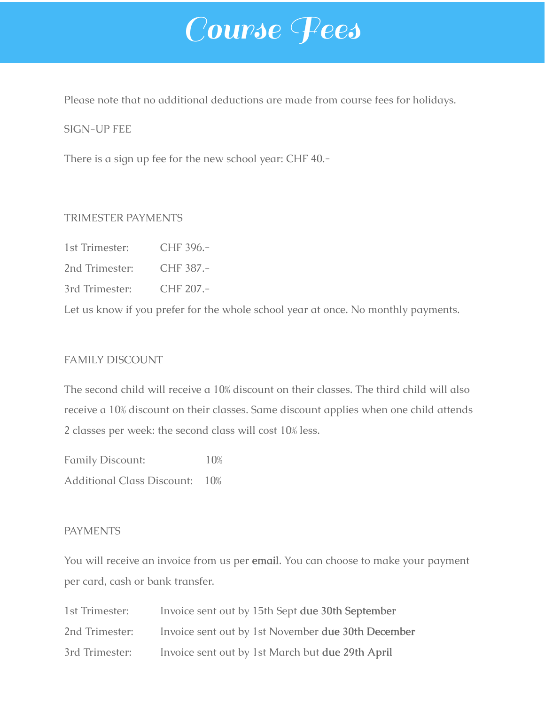# Course Fees

Please note that no additional deductions are made from course fees for holidays.

#### SIGN-UP FEE

There is a sign up fee for the new school year: CHF 40.-

#### TRIMESTER PAYMENTS

- 1st Trimester: CHF 396.-
- 2nd Trimester: CHF 387.-
- 3rd Trimester: CHF 207.-

Let us know if you prefer for the whole school year at once. No monthly payments.

# FAMILY DISCOUNT

The second child will receive a 10% discount on their classes. The third child will also receive a 10% discount on their classes. Same discount applies when one child attends 2 classes per week: the second class will cost 10% less.

Family Discount: 10% Additional Class Discount: 10%

#### **PAYMENTS**

You will receive an invoice from us per **email**. You can choose to make your payment per card, cash or bank transfer.

| 1st Trimester: | Invoice sent out by 15th Sept due 30th September   |
|----------------|----------------------------------------------------|
| 2nd Trimester: | Invoice sent out by 1st November due 30th December |
| 3rd Trimester: | Invoice sent out by 1st March but due 29th April   |